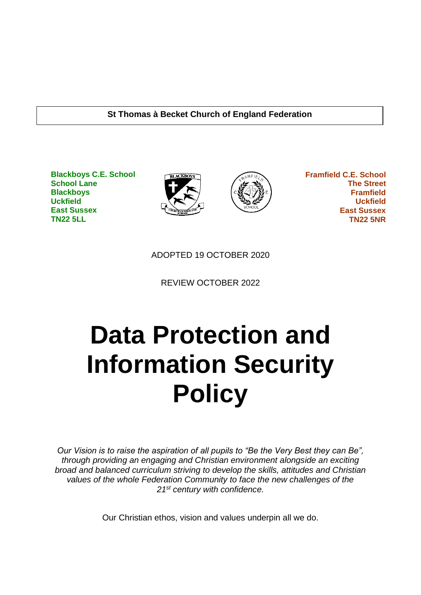#### **St Thomas à Becket Church of England Federation**

**Blackboys C.E. School School Lane Blackboys Uckfield East Sussex TN22 5LL**





 **Framfield C.E. School The Street Framfield Uckfield East Sussex TN22 5NR**

ADOPTED 19 OCTOBER 2020

REVIEW OCTOBER 2022

# **Data Protection and Information Security Policy**

*Our Vision is to raise the aspiration of all pupils to "Be the Very Best they can Be", through providing an engaging and Christian environment alongside an exciting broad and balanced curriculum striving to develop the skills, attitudes and Christian values of the whole Federation Community to face the new challenges of the 21st century with confidence.*

Our Christian ethos, vision and values underpin all we do.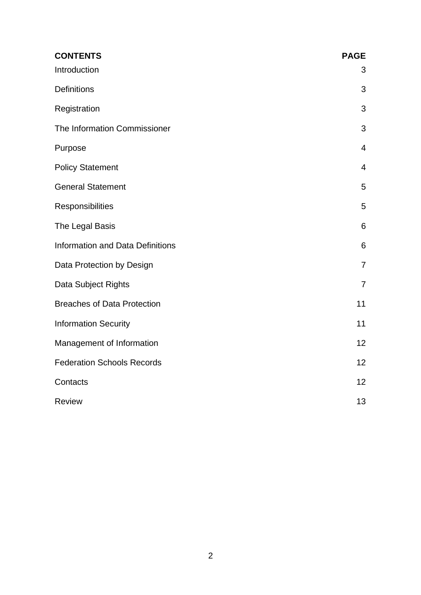| <b>CONTENTS</b>                         | <b>PAGE</b>              |
|-----------------------------------------|--------------------------|
| Introduction                            | 3                        |
| <b>Definitions</b>                      | 3                        |
| Registration                            | 3                        |
| The Information Commissioner            | 3                        |
| Purpose                                 | 4                        |
| <b>Policy Statement</b>                 | $\overline{\mathcal{A}}$ |
| <b>General Statement</b>                | 5                        |
| Responsibilities                        | 5                        |
| The Legal Basis                         | 6                        |
| <b>Information and Data Definitions</b> | 6                        |
| Data Protection by Design               | $\overline{7}$           |
| Data Subject Rights                     | $\overline{7}$           |
| <b>Breaches of Data Protection</b>      | 11                       |
| <b>Information Security</b>             | 11                       |
| Management of Information               | 12                       |
| <b>Federation Schools Records</b>       | 12                       |
| Contacts                                | 12                       |
| <b>Review</b>                           | 13                       |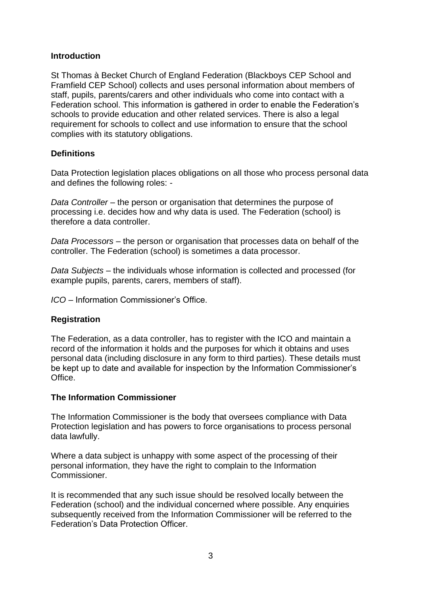#### **Introduction**

St Thomas à Becket Church of England Federation (Blackboys CEP School and Framfield CEP School) collects and uses personal information about members of staff, pupils, parents/carers and other individuals who come into contact with a Federation school. This information is gathered in order to enable the Federation's schools to provide education and other related services. There is also a legal requirement for schools to collect and use information to ensure that the school complies with its statutory obligations.

## **Definitions**

Data Protection legislation places obligations on all those who process personal data and defines the following roles: -

*Data Controller* – the person or organisation that determines the purpose of processing i.e. decides how and why data is used. The Federation (school) is therefore a data controller.

*Data Processors* – the person or organisation that processes data on behalf of the controller. The Federation (school) is sometimes a data processor.

*Data Subjects* – the individuals whose information is collected and processed (for example pupils, parents, carers, members of staff).

*ICO –* Information Commissioner's Office.

#### **Registration**

The Federation, as a data controller, has to register with the ICO and maintain a record of the information it holds and the purposes for which it obtains and uses personal data (including disclosure in any form to third parties). These details must be kept up to date and available for inspection by the Information Commissioner's **Office** 

#### **The Information Commissioner**

The Information Commissioner is the body that oversees compliance with Data Protection legislation and has powers to force organisations to process personal data lawfully.

Where a data subject is unhappy with some aspect of the processing of their personal information, they have the right to complain to the Information Commissioner.

It is recommended that any such issue should be resolved locally between the Federation (school) and the individual concerned where possible. Any enquiries subsequently received from the Information Commissioner will be referred to the Federation's Data Protection Officer.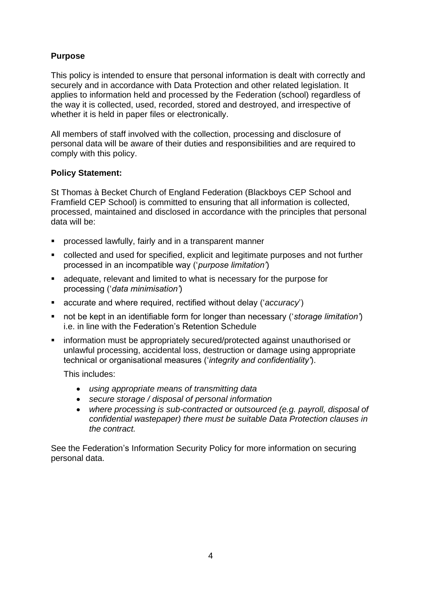# **Purpose**

This policy is intended to ensure that personal information is dealt with correctly and securely and in accordance with Data Protection and other related legislation. It applies to information held and processed by the Federation (school) regardless of the way it is collected, used, recorded, stored and destroyed, and irrespective of whether it is held in paper files or electronically.

All members of staff involved with the collection, processing and disclosure of personal data will be aware of their duties and responsibilities and are required to comply with this policy.

## **Policy Statement:**

St Thomas à Becket Church of England Federation (Blackboys CEP School and Framfield CEP School) is committed to ensuring that all information is collected, processed, maintained and disclosed in accordance with the principles that personal data will be:

- processed lawfully, fairly and in a transparent manner
- collected and used for specified, explicit and legitimate purposes and not further processed in an incompatible way ('*purpose limitation'*)
- adequate, relevant and limited to what is necessary for the purpose for processing ('*data minimisation'*)
- accurate and where required, rectified without delay ('accuracy')
- not be kept in an identifiable form for longer than necessary ('*storage limitation'*) i.e. in line with the Federation's Retention Schedule
- information must be appropriately secured/protected against unauthorised or unlawful processing, accidental loss, destruction or damage using appropriate technical or organisational measures ('*integrity and confidentiality'*).

This includes:

- *using appropriate means of transmitting data*
- *secure storage / disposal of personal information*
- *where processing is sub-contracted or outsourced (e.g. payroll, disposal of confidential wastepaper) there must be suitable Data Protection clauses in the contract.*

See the Federation's Information Security Policy for more information on securing personal data.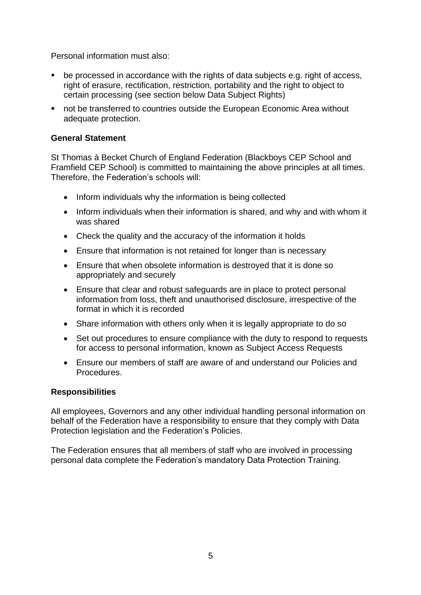Personal information must also:

- be processed in accordance with the rights of data subjects e.g. right of access, right of erasure, rectification, restriction, portability and the right to object to certain processing (see section below Data Subject Rights)
- not be transferred to countries outside the European Economic Area without adequate protection.

## **General Statement**

St Thomas à Becket Church of England Federation (Blackboys CEP School and Framfield CEP School) is committed to maintaining the above principles at all times. Therefore, the Federation's schools will:

- Inform individuals why the information is being collected
- Inform individuals when their information is shared, and why and with whom it was shared
- Check the quality and the accuracy of the information it holds
- Ensure that information is not retained for longer than is necessary
- Ensure that when obsolete information is destroyed that it is done so appropriately and securely
- Ensure that clear and robust safeguards are in place to protect personal information from loss, theft and unauthorised disclosure, irrespective of the format in which it is recorded
- Share information with others only when it is legally appropriate to do so
- Set out procedures to ensure compliance with the duty to respond to requests for access to personal information, known as Subject Access Requests
- Ensure our members of staff are aware of and understand our Policies and Procedures.

#### **Responsibilities**

All employees, Governors and any other individual handling personal information on behalf of the Federation have a responsibility to ensure that they comply with Data Protection legislation and the Federation's Policies.

The Federation ensures that all members of staff who are involved in processing personal data complete the Federation's mandatory Data Protection Training.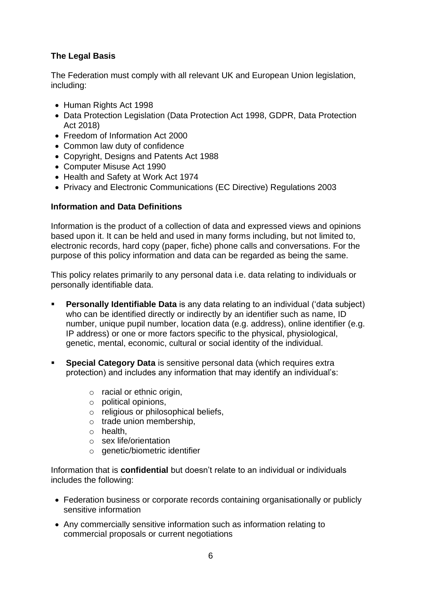# **The Legal Basis**

The Federation must comply with all relevant UK and European Union legislation, including:

- Human Rights Act 1998
- Data Protection Legislation (Data Protection Act 1998, GDPR, Data Protection Act 2018)
- Freedom of Information Act 2000
- Common law duty of confidence
- Copyright, Designs and Patents Act 1988
- Computer Misuse Act 1990
- Health and Safety at Work Act 1974
- Privacy and Electronic Communications (EC Directive) Regulations 2003

# **Information and Data Definitions**

Information is the product of a collection of data and expressed views and opinions based upon it. It can be held and used in many forms including, but not limited to, electronic records, hard copy (paper, fiche) phone calls and conversations. For the purpose of this policy information and data can be regarded as being the same.

This policy relates primarily to any personal data i.e. data relating to individuals or personally identifiable data.

- **Personally Identifiable Data** is any data relating to an individual ('data subject) who can be identified directly or indirectly by an identifier such as name, ID number, unique pupil number, location data (e.g. address), online identifier (e.g. IP address) or one or more factors specific to the physical, physiological, genetic, mental, economic, cultural or social identity of the individual.
- **EXEDENTIFY Special Category Data** is sensitive personal data (which requires extra protection) and includes any information that may identify an individual's:
	- $\circ$  racial or ethnic origin.
	- o political opinions,
	- o religious or philosophical beliefs,
	- o trade union membership,
	- o health,
	- o sex life/orientation
	- $\circ$  genetic/biometric identifier

Information that is **confidential** but doesn't relate to an individual or individuals includes the following:

- Federation business or corporate records containing organisationally or publicly sensitive information
- Any commercially sensitive information such as information relating to commercial proposals or current negotiations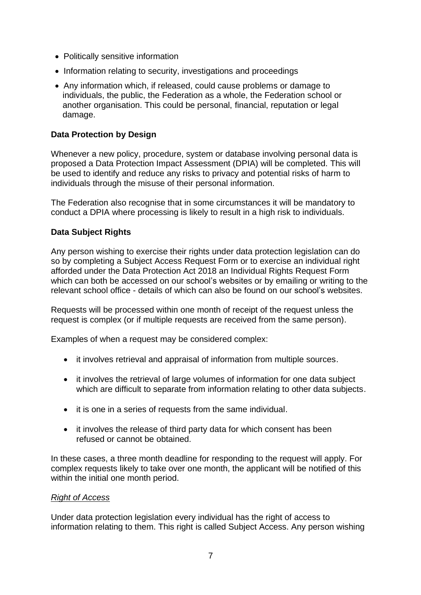- Politically sensitive information
- Information relating to security, investigations and proceedings
- Any information which, if released, could cause problems or damage to individuals, the public, the Federation as a whole, the Federation school or another organisation. This could be personal, financial, reputation or legal damage.

#### **Data Protection by Design**

Whenever a new policy, procedure, system or database involving personal data is proposed a Data Protection Impact Assessment (DPIA) will be completed. This will be used to identify and reduce any risks to privacy and potential risks of harm to individuals through the misuse of their personal information.

The Federation also recognise that in some circumstances it will be mandatory to conduct a DPIA where processing is likely to result in a high risk to individuals.

# **Data Subject Rights**

Any person wishing to exercise their rights under data protection legislation can do so by completing a Subject Access Request Form or to exercise an individual right afforded under the Data Protection Act 2018 an Individual Rights Request Form which can both be accessed on our school's websites or by emailing or writing to the relevant school office - details of which can also be found on our school's websites.

Requests will be processed within one month of receipt of the request unless the request is complex (or if multiple requests are received from the same person).

Examples of when a request may be considered complex:

- it involves retrieval and appraisal of information from multiple sources.
- it involves the retrieval of large volumes of information for one data subject which are difficult to separate from information relating to other data subjects.
- it is one in a series of requests from the same individual.
- it involves the release of third party data for which consent has been refused or cannot be obtained.

In these cases, a three month deadline for responding to the request will apply. For complex requests likely to take over one month, the applicant will be notified of this within the initial one month period.

#### *Right of Access*

Under data protection legislation every individual has the right of access to information relating to them. This right is called Subject Access. Any person wishing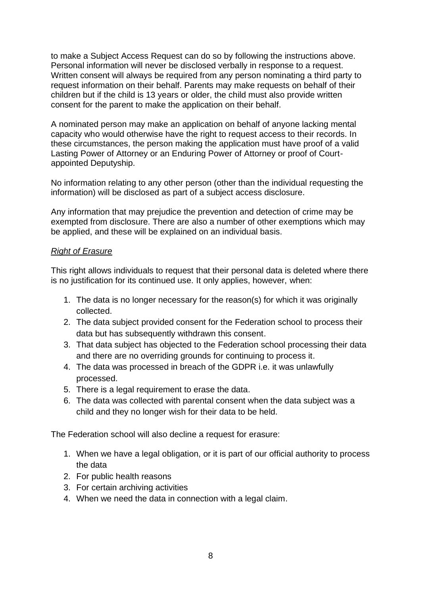to make a Subject Access Request can do so by following the instructions above. Personal information will never be disclosed verbally in response to a request. Written consent will always be required from any person nominating a third party to request information on their behalf. Parents may make requests on behalf of their children but if the child is 13 years or older, the child must also provide written consent for the parent to make the application on their behalf.

A nominated person may make an application on behalf of anyone lacking mental capacity who would otherwise have the right to request access to their records. In these circumstances, the person making the application must have proof of a valid Lasting Power of Attorney or an Enduring Power of Attorney or proof of Courtappointed Deputyship.

No information relating to any other person (other than the individual requesting the information) will be disclosed as part of a subject access disclosure.

Any information that may prejudice the prevention and detection of crime may be exempted from disclosure. There are also a number of other exemptions which may be applied, and these will be explained on an individual basis.

#### *Right of Erasure*

This right allows individuals to request that their personal data is deleted where there is no justification for its continued use. It only applies, however, when:

- 1. The data is no longer necessary for the reason(s) for which it was originally collected.
- 2. The data subject provided consent for the Federation school to process their data but has subsequently withdrawn this consent.
- 3. That data subject has objected to the Federation school processing their data and there are no overriding grounds for continuing to process it.
- 4. The data was processed in breach of the GDPR i.e. it was unlawfully processed.
- 5. There is a legal requirement to erase the data.
- 6. The data was collected with parental consent when the data subject was a child and they no longer wish for their data to be held.

The Federation school will also decline a request for erasure:

- 1. When we have a legal obligation, or it is part of our official authority to process the data
- 2. For public health reasons
- 3. For certain archiving activities
- 4. When we need the data in connection with a legal claim.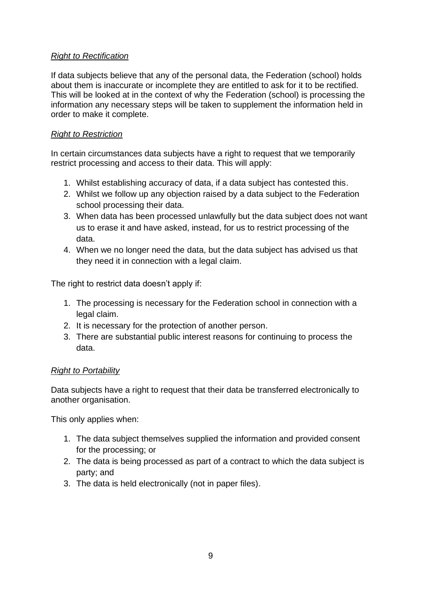# *Right to Rectification*

If data subjects believe that any of the personal data, the Federation (school) holds about them is inaccurate or incomplete they are entitled to ask for it to be rectified. This will be looked at in the context of why the Federation (school) is processing the information any necessary steps will be taken to supplement the information held in order to make it complete.

## *Right to Restriction*

In certain circumstances data subjects have a right to request that we temporarily restrict processing and access to their data. This will apply:

- 1. Whilst establishing accuracy of data, if a data subject has contested this.
- 2. Whilst we follow up any objection raised by a data subject to the Federation school processing their data.
- 3. When data has been processed unlawfully but the data subject does not want us to erase it and have asked, instead, for us to restrict processing of the data.
- 4. When we no longer need the data, but the data subject has advised us that they need it in connection with a legal claim.

The right to restrict data doesn't apply if:

- 1. The processing is necessary for the Federation school in connection with a legal claim.
- 2. It is necessary for the protection of another person.
- 3. There are substantial public interest reasons for continuing to process the data.

#### *Right to Portability*

Data subjects have a right to request that their data be transferred electronically to another organisation.

This only applies when:

- 1. The data subject themselves supplied the information and provided consent for the processing; or
- 2. The data is being processed as part of a contract to which the data subject is party; and
- 3. The data is held electronically (not in paper files).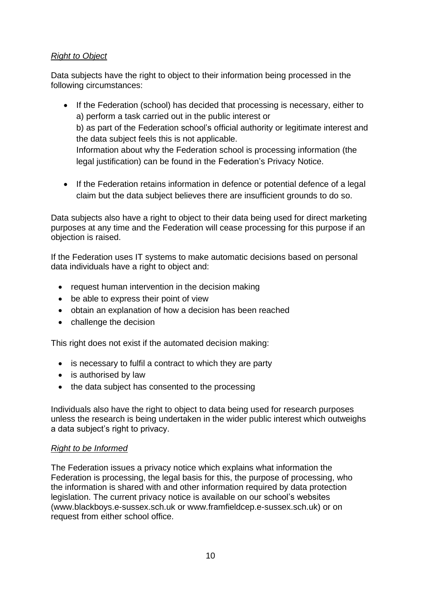# *Right to Object*

Data subjects have the right to object to their information being processed in the following circumstances:

- If the Federation (school) has decided that processing is necessary, either to a) perform a task carried out in the public interest or b) as part of the Federation school's official authority or legitimate interest and the data subject feels this is not applicable. Information about why the Federation school is processing information (the legal justification) can be found in the Federation's Privacy Notice.
- If the Federation retains information in defence or potential defence of a legal claim but the data subject believes there are insufficient grounds to do so.

Data subjects also have a right to object to their data being used for direct marketing purposes at any time and the Federation will cease processing for this purpose if an objection is raised.

If the Federation uses IT systems to make automatic decisions based on personal data individuals have a right to object and:

- request human intervention in the decision making
- be able to express their point of view
- obtain an explanation of how a decision has been reached
- challenge the decision

This right does not exist if the automated decision making:

- is necessary to fulfil a contract to which they are party
- is authorised by law
- the data subject has consented to the processing

Individuals also have the right to object to data being used for research purposes unless the research is being undertaken in the wider public interest which outweighs a data subject's right to privacy.

# *Right to be Informed*

The Federation issues a privacy notice which explains what information the Federation is processing, the legal basis for this, the purpose of processing, who the information is shared with and other information required by data protection legislation. The current privacy notice is available on our school's websites [\(www.blackboys.e-sussex.sch.uk](http://www.blackboys.e-sussex.sch.uk/) or www.framfieldcep.e-sussex.sch.uk) or on request from either school office.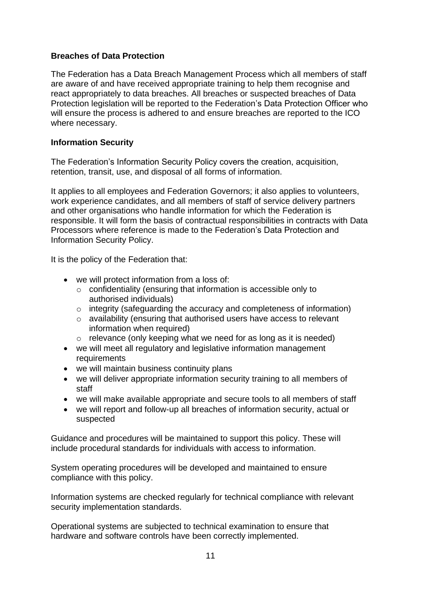# **Breaches of Data Protection**

The Federation has a Data Breach Management Process which all members of staff are aware of and have received appropriate training to help them recognise and react appropriately to data breaches. All breaches or suspected breaches of Data Protection legislation will be reported to the Federation's Data Protection Officer who will ensure the process is adhered to and ensure breaches are reported to the ICO where necessary.

## **Information Security**

The Federation's Information Security Policy covers the creation, acquisition, retention, transit, use, and disposal of all forms of information.

It applies to all employees and Federation Governors; it also applies to volunteers, work experience candidates, and all members of staff of service delivery partners and other organisations who handle information for which the Federation is responsible. It will form the basis of contractual responsibilities in contracts with Data Processors where reference is made to the Federation's Data Protection and Information Security Policy.

It is the policy of the Federation that:

- we will protect information from a loss of:
	- o confidentiality (ensuring that information is accessible only to authorised individuals)
	- o integrity (safeguarding the accuracy and completeness of information)
	- o availability (ensuring that authorised users have access to relevant information when required)
	- o relevance (only keeping what we need for as long as it is needed)
- we will meet all regulatory and legislative information management requirements
- we will maintain business continuity plans
- we will deliver appropriate information security training to all members of staff
- we will make available appropriate and secure tools to all members of staff
- we will report and follow-up all breaches of information security, actual or suspected

Guidance and procedures will be maintained to support this policy. These will include procedural standards for individuals with access to information.

System operating procedures will be developed and maintained to ensure compliance with this policy.

Information systems are checked regularly for technical compliance with relevant security implementation standards.

Operational systems are subjected to technical examination to ensure that hardware and software controls have been correctly implemented.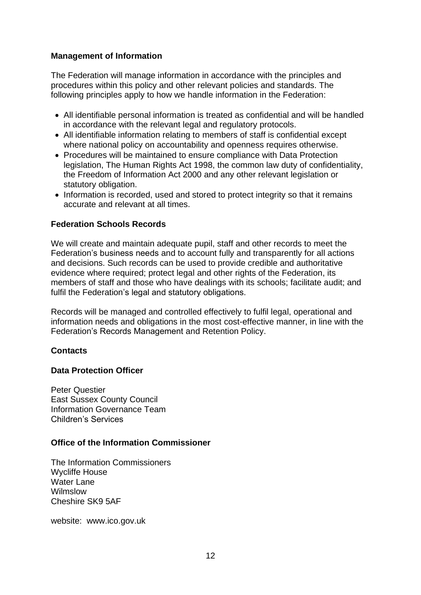## **Management of Information**

The Federation will manage information in accordance with the principles and procedures within this policy and other relevant policies and standards. The following principles apply to how we handle information in the Federation:

- All identifiable personal information is treated as confidential and will be handled in accordance with the relevant legal and regulatory protocols.
- All identifiable information relating to members of staff is confidential except where national policy on accountability and openness requires otherwise.
- Procedures will be maintained to ensure compliance with Data Protection legislation, The Human Rights Act 1998, the common law duty of confidentiality, the Freedom of Information Act 2000 and any other relevant legislation or statutory obligation.
- Information is recorded, used and stored to protect integrity so that it remains accurate and relevant at all times.

#### **Federation Schools Records**

We will create and maintain adequate pupil, staff and other records to meet the Federation's business needs and to account fully and transparently for all actions and decisions. Such records can be used to provide credible and authoritative evidence where required; protect legal and other rights of the Federation, its members of staff and those who have dealings with its schools; facilitate audit; and fulfil the Federation's legal and statutory obligations.

Records will be managed and controlled effectively to fulfil legal, operational and information needs and obligations in the most cost-effective manner, in line with the Federation's Records Management and Retention Policy.

#### **Contacts**

#### **Data Protection Officer**

Peter Questier East Sussex County Council Information Governance Team Children's Services

#### **Office of the Information Commissioner**

The Information Commissioners Wycliffe House Water Lane Wilmslow Cheshire SK9 5AF

website: [www.ico.gov.uk](http://www.ico.gov.uk/)